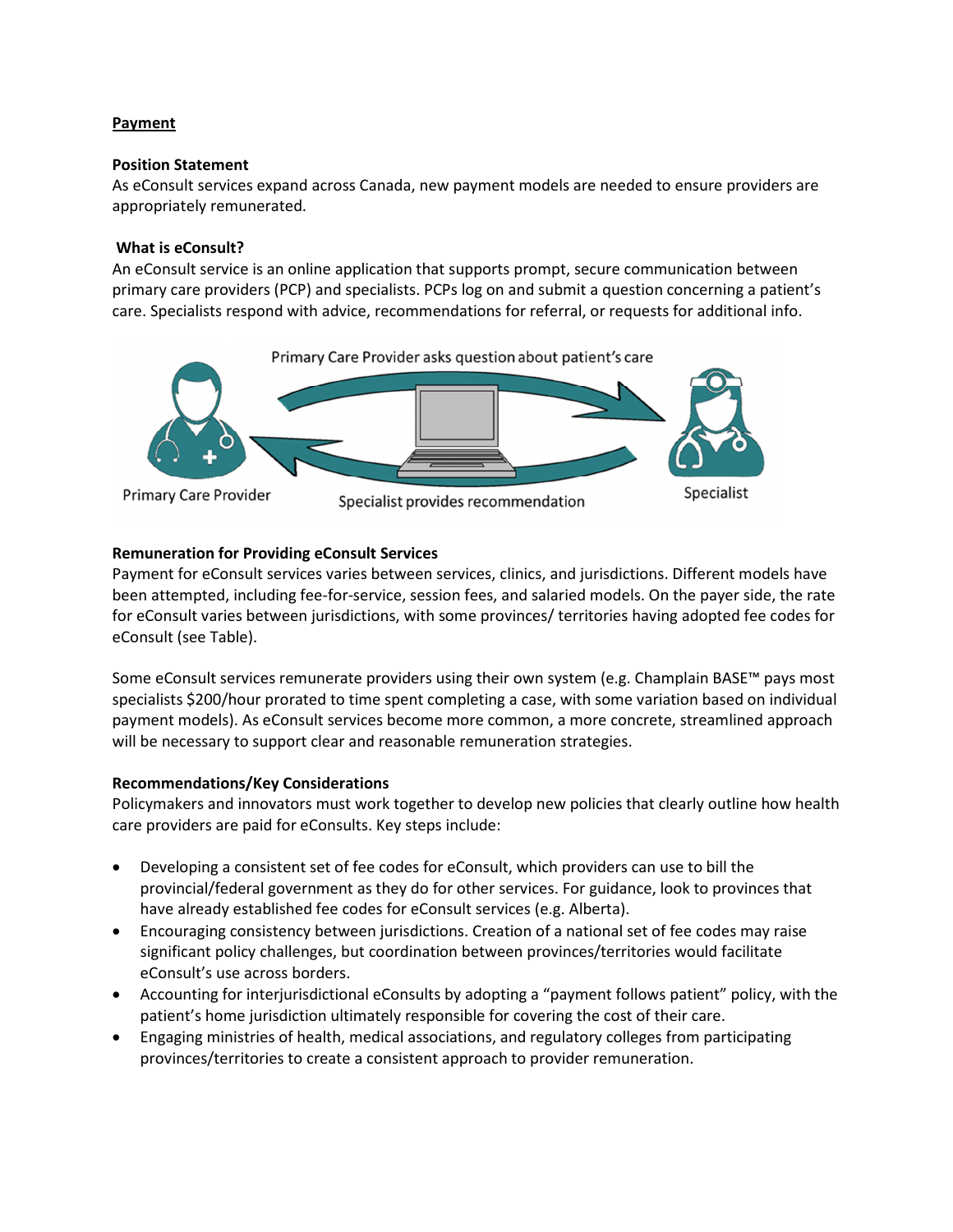# **Payment**

### **Position Statement**

As eConsult services expand across Canada, new payment models are needed to ensure providers are appropriately remunerated.

### **What is eConsult?**

An eConsult service is an online application that supports prompt, secure communication between primary care providers (PCP) and specialists. PCPs log on and submit a question concerning a patient's care. Specialists respond with advice, recommendations for referral, or requests for additional info.



# **Remuneration for Providing eConsult Services**

Payment for eConsult services varies between services, clinics, and jurisdictions. Different models have been attempted, including fee-for-service, session fees, and salaried models. On the payer side, the rate for eConsult varies between jurisdictions, with some provinces/ territories having adopted fee codes for eConsult (see Table).

Some eConsult services remunerate providers using their own system (e.g. Champlain BASE™ pays most specialists \$200/hour prorated to time spent completing a case, with some variation based on individual payment models). As eConsult services become more common, a more concrete, streamlined approach will be necessary to support clear and reasonable remuneration strategies.

# **Recommendations/Key Considerations**

Policymakers and innovators must work together to develop new policies that clearly outline how health care providers are paid for eConsults. Key steps include:

- Developing a consistent set of fee codes for eConsult, which providers can use to bill the provincial/federal government as they do for other services. For guidance, look to provinces that have already established fee codes for eConsult services (e.g. Alberta).
- Encouraging consistency between jurisdictions. Creation of a national set of fee codes may raise significant policy challenges, but coordination between provinces/territories would facilitate eConsult's use across borders.
- Accounting for interjurisdictional eConsults by adopting a "payment follows patient" policy, with the patient's home jurisdiction ultimately responsible for covering the cost of their care.
- Engaging ministries of health, medical associations, and regulatory colleges from participating provinces/territories to create a consistent approach to provider remuneration.